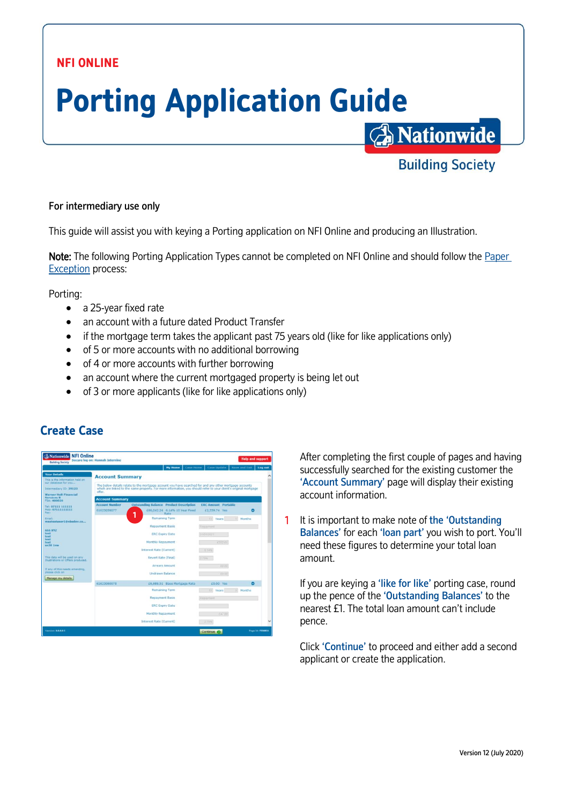## **NFI ONLINE**

# **Porting Application Guide A** Nationwide

#### For intermediary use only

This guide will assist you with keying a Porting application on NFI Online and producing an Illustration.

Note: The following Porting Application Types cannot be completed on NFI Online and should follow the [Paper](http://www.nationwide-intermediary.co.uk/eservices/submit_a_case)  [Exception](http://www.nationwide-intermediary.co.uk/eservices/submit_a_case) process:

Porting:

- a 25-year fixed rate
- an account with a future dated Product Transfer
- if the mortgage term takes the applicant past 75 years old (like for like applications only)
- of 5 or more accounts with no additional borrowing
- of 4 or more accounts with further borrowing
- an account where the current mortgaged property is being let out
- of 3 or more applicants (like for like applications only)



After completing the first couple of pages and having successfully searched for the existing customer the 'Account Summary' page will display their existing account information.

**Building Society** 

1 It is important to make note of the 'Outstanding Balances' for each 'loan part' you wish to port. You'll need these figures to determine your total loan amount.

If you are keying a 'like for like' porting case, round up the pence of the 'Outstanding Balances' to the nearest £1. The total loan amount can't include pence.

Click 'Continue' to proceed and either add a second applicant or create the application.

# **Create Case**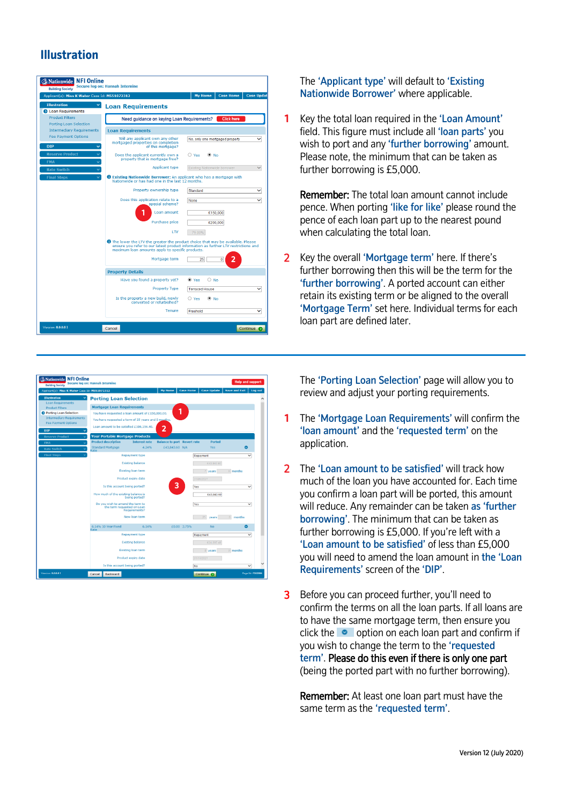## **Illustration**



The 'Applicant type' will default to 'Existing Nationwide Borrower' where applicable.

**1** Key the total loan required in the 'Loan Amount' field. This figure must include all 'loan parts' you wish to port and any 'further borrowing' amount. Please note, the minimum that can be taken as further borrowing is £5,000.

Remember: The total loan amount cannot include pence. When porting 'like for like' please round the pence of each loan part up to the nearest pound when calculating the total loan.

 $\mathcal{P}$ Key the overall 'Mortgage term' here. If there's further borrowing then this will be the term for the 'further borrowing'. A ported account can either retain its existing term or be aligned to the overall 'Mortgage Term' set here. Individual terms for each loan part are defined later.



The 'Porting Loan Selection' page will allow you to review and adjust your porting requirements.

- **1** The 'Mortgage Loan Requirements' will confirm the 'loan amount' and the 'requested term' on the application.
- 2 The 'Loan amount to be satisfied' will track how much of the loan you have accounted for. Each time you confirm a loan part will be ported, this amount will reduce. Any remainder can be taken as 'further borrowing'. The minimum that can be taken as further borrowing is £5,000. If you're left with a 'Loan amount to be satisfied' of less than £5,000 you will need to amend the loan amount in the 'Loan Requirements' screen of the 'DIP'.
- 3 Before you can proceed further, you'll need to confirm the terms on all the loan parts. If all loans are to have the same mortgage term, then ensure you click the  $\bullet$  option on each loan part and confirm if you wish to change the term to the 'requested term'. Please do this even if there is only one part (being the ported part with no further borrowing).

Remember: At least one loan part must have the same term as the 'requested term'.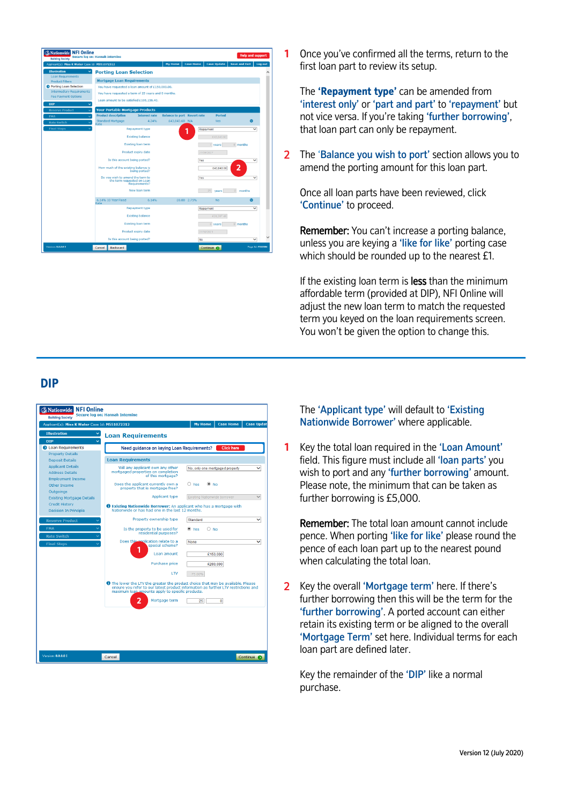

**1**Once you've confirmed all the terms, return to the first loan part to review its setup.

The **'Repayment type'** can be amended from 'interest only' or 'part and part' to 'repayment' but not vice versa. If you're taking 'further borrowing', that loan part can only be repayment.

2 The 'Balance you wish to port' section allows you to amend the porting amount for this loan part.

Once all loan parts have been reviewed, click 'Continue' to proceed.

Remember: You can't increase a porting balance, unless you are keying a 'like for like' porting case which should be rounded up to the nearest £1.

If the existing loan term is less than the minimum affordable term (provided at DIP), NFI Online will adjust the new loan term to match the requested term you keyed on the loan requirements screen. You won't be given the option to change this.

## **DIP**



The 'Applicant type' will default to 'Existing Nationwide Borrower' where applicable.

**1** $\overline{a}$ Key the total loan required in the 'Loan Amount' field. This figure must include all 'loan parts' you wish to port and any 'further borrowing' amount. Please note, the minimum that can be taken as further borrowing is £5,000.

Remember: The total loan amount cannot include pence. When porting 'like for like' please round the pence of each loan part up to the nearest pound when calculating the total loan.

Key the overall 'Mortgage term' here. If there's further borrowing then this will be the term for the 'further borrowing'. A ported account can either retain its existing term or be aligned to the overall 'Mortgage Term' set here. Individual terms for each loan part are defined later.

Key the remainder of the 'DIP' like a normal purchase.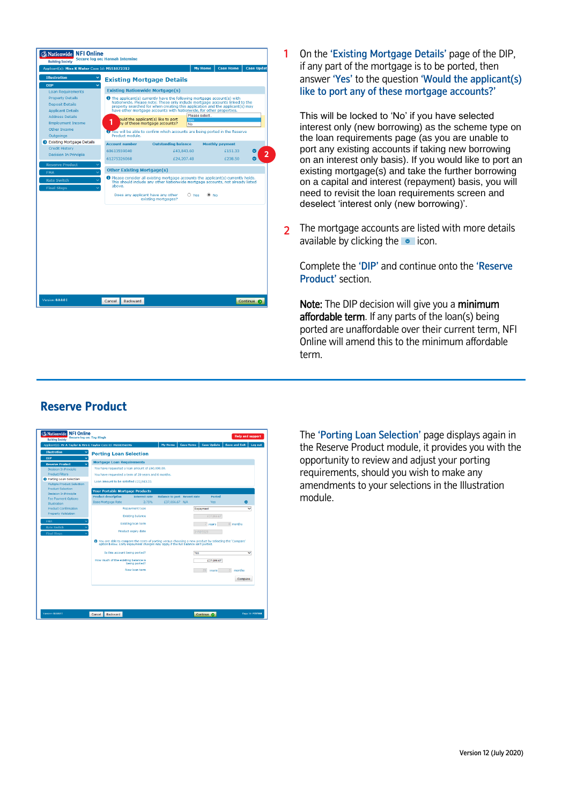

1 On the 'Existing Mortgage Details' page of the DIP, if any part of the mortgage is to be ported, then answer 'Yes' to the question 'Would the applicant(s) like to port any of these mortgage accounts?'

This will be locked to 'No' if you have selected interest only (new borrowing) as the scheme type on the loan requirements page (as you are unable to port any existing accounts if taking new borrowing on an interest only basis). If you would like to port an existing mortgage(s) and take the further borrowing on a capital and interest (repayment) basis, you will need to revisit the loan requirements screen and deselect 'interest only (new borrowing)'.

 $2<sup>1</sup>$ The mortgage accounts are listed with more details available by clicking the  $\bullet$  icon.

Complete the 'DIP' and continue onto the 'Reserve Product' section.

Note: The DIP decision will give you a minimum affordable term. If any parts of the loan(s) being ported are unaffordable over their current term, NFI Online will amend this to the minimum affordable term.



The 'Porting Loan Selection' page displays again in the Reserve Product module, it provides you with the opportunity to review and adjust your porting requirements, should you wish to make any amendments to your selections in the Illustration module.

# **Reserve Product**